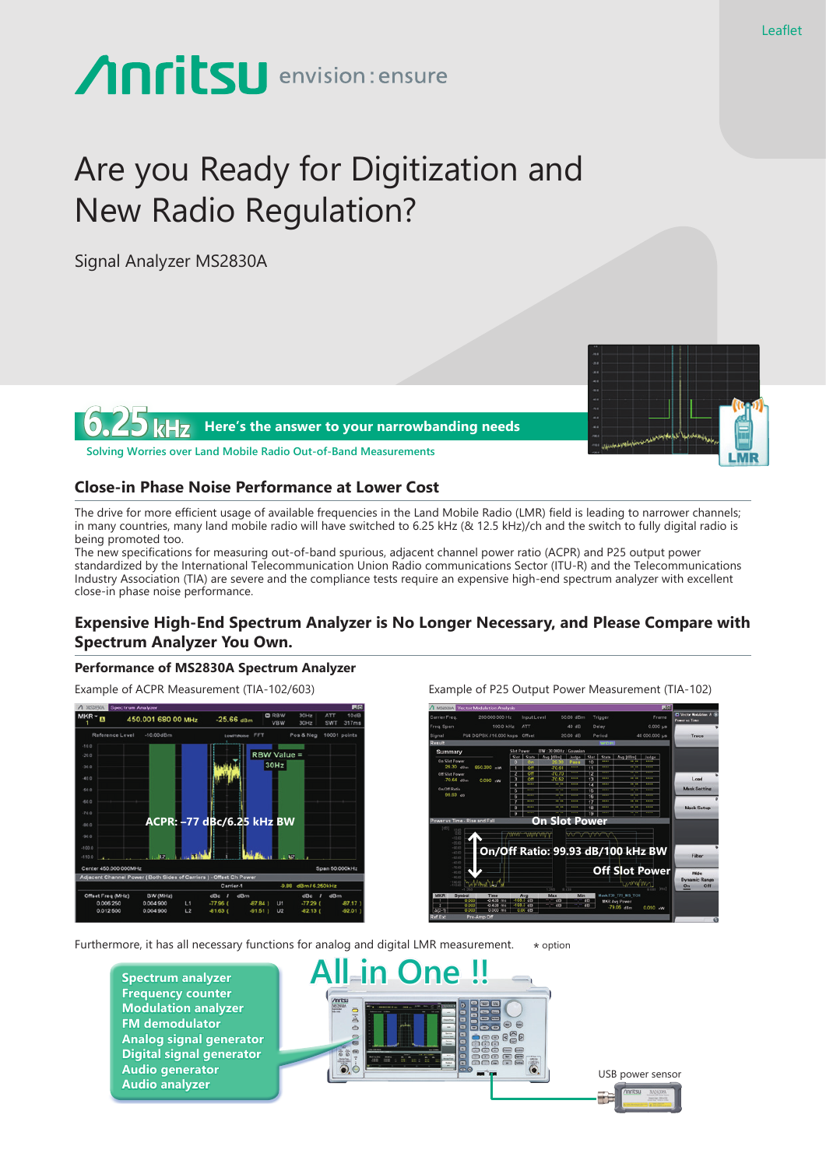# **Anritsu** envision: ensure

# Are you Ready for Digitization and New Radio Regulation?

Signal Analyzer MS2830A



### **Close-in Phase Noise Performance at Lower Cost**

The drive for more efficient usage of available frequencies in the Land Mobile Radio (LMR) field is leading to narrower channels; in many countries, many land mobile radio will have switched to 6.25 kHz (& 12.5 kHz)/ch and the switch to fully digital radio is being promoted too.

The new specifications for measuring out-of-band spurious, adjacent channel power ratio (ACPR) and P25 output power standardized by the International Telecommunication Union Radio communications Sector (ITU-R) and the Telecommunications Industry Association (TIA) are severe and the compliance tests require an expensive high-end spectrum analyzer with excellent close-in phase noise performance.

## **Expensive High-End Spectrum Analyzer is No Longer Necessary, and Please Compare with Spectrum Analyzer You Own.**

#### **Performance of MS2830A Spectrum Analyzer**

Example of ACPR Measurement (TIA-102/603) Example of P25 Output Power Measurement (TIA-102)





Furthermore, it has all necessary functions for analog and digital LMR measurement.  $*$  option

**Spectrum analyzer Frequency counter Modulation analyzer FM demodulator Analog signal generator Digital signal generator Audio generator**